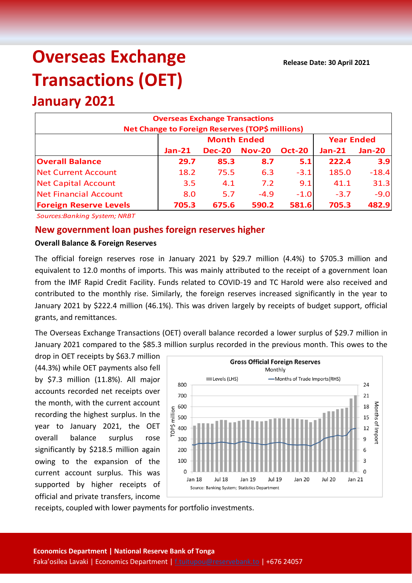**Release Date: 30 April 2021**

# **Overseas Exchange Transactions (OET)**

# **January 2021**

| <b>Overseas Exchange Transactions</b><br>Net Change to Foreign Reserves (TOP\$ millions) |          |                    |                   |               |          |               |  |  |
|------------------------------------------------------------------------------------------|----------|--------------------|-------------------|---------------|----------|---------------|--|--|
|                                                                                          |          | <b>Month Ended</b> | <b>Year Ended</b> |               |          |               |  |  |
|                                                                                          | $Jan-21$ | <b>Dec-20</b>      | <b>Nov-20</b>     | <b>Oct-20</b> | $Jan-21$ | <b>Jan-20</b> |  |  |
| <b>Overall Balance</b>                                                                   | 29.7     | 85.3               | 8.7               | 5.1           | 222.4    | 3.9           |  |  |
| <b>Net Current Account</b>                                                               | 18.2     | 75.5               | 6.3               | $-3.1$        | 185.0    | $-18.4$       |  |  |
| <b>Net Capital Account</b>                                                               | 3.5      | 4.1                | 7.2               | 9.1           | 41.1     | 31.3          |  |  |
| <b>Net Financial Account</b>                                                             | 8.0      | 5.7                | $-4.9$            | $-1.0$        | $-3.7$   | $-9.0$        |  |  |
| <b>Foreign Reserve Levels</b>                                                            | 705.3    | 675.6              | 590.2             | 581.6         | 705.3    | 482.9         |  |  |

*Sources:Banking System; NRBT*

# **New government loan pushes foreign reserves higher**

#### **Overall Balance & Foreign Reserves**

The official foreign reserves rose in January 2021 by \$29.7 million (4.4%) to \$705.3 million and equivalent to 12.0 months of imports. This was mainly attributed to the receipt of a government loan from the IMF Rapid Credit Facility. Funds related to COVID-19 and TC Harold were also received and contributed to the monthly rise. Similarly, the foreign reserves increased significantly in the year to January 2021 by \$222.4 million (46.1%). This was driven largely by receipts of budget support, official grants, and remittances.

The Overseas Exchange Transactions (OET) overall balance recorded a lower surplus of \$29.7 million in January 2021 compared to the \$85.3 million surplus recorded in the previous month. This owes to the

drop in OET receipts by \$63.7 million (44.3%) while OET payments also fell by \$7.3 million (11.8%). All major accounts recorded net receipts over the month, with the current account recording the highest surplus. In the year to January 2021, the OET overall balance surplus rose significantly by \$218.5 million again owing to the expansion of the current account surplus. This was supported by higher receipts of official and private transfers, income



receipts, coupled with lower payments for portfolio investments.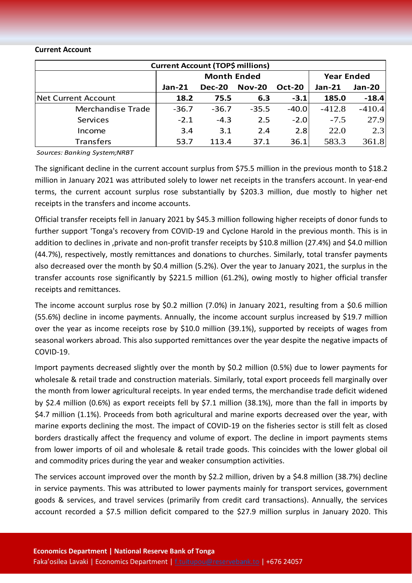#### **Current Account**

| <b>Current Account (TOP\$ millions)</b> |                    |               |               |               |                   |               |  |  |
|-----------------------------------------|--------------------|---------------|---------------|---------------|-------------------|---------------|--|--|
|                                         | <b>Month Ended</b> |               |               |               | <b>Year Ended</b> |               |  |  |
|                                         | <b>Jan-21</b>      | <b>Dec-20</b> | <b>Nov-20</b> | <b>Oct-20</b> | <b>Jan-21</b>     | <b>Jan-20</b> |  |  |
| Net Current Account                     | 18.2               | 75.5          | 6.3           | $-3.1$        | 185.0             | $-18.4$       |  |  |
| Merchandise Trade                       | $-36.7$            | $-36.7$       | $-35.5$       | $-40.0$       | $-412.8$          | $-410.4$      |  |  |
| Services                                | $-2.1$             | $-4.3$        | 2.5           | $-2.0$        | $-7.5$            | 27.9          |  |  |
| Income                                  | 3.4                | 3.1           | 2.4           | 2.8           | 22.0              | 2.3           |  |  |
| <b>Transfers</b>                        | 53.7               | 113.4         | 37.1          | 36.1          | 583.3             | 361.8         |  |  |

*Sources: Banking System;NRBT*

The significant decline in the current account surplus from \$75.5 million in the previous month to \$18.2 million in January 2021 was attributed solely to lower net receipts in the transfers account. In year-end terms, the current account surplus rose substantially by \$203.3 million, due mostly to higher net receipts in the transfers and income accounts.

Official transfer receipts fell in January 2021 by \$45.3 million following higher receipts of donor funds to further support 'Tonga's recovery from COVID-19 and Cyclone Harold in the previous month. This is in addition to declines in ,private and non-profit transfer receipts by \$10.8 million (27.4%) and \$4.0 million (44.7%), respectively, mostly remittances and donations to churches. Similarly, total transfer payments also decreased over the month by \$0.4 million (5.2%). Over the year to January 2021, the surplus in the transfer accounts rose significantly by \$221.5 million (61.2%), owing mostly to higher official transfer receipts and remittances.

The income account surplus rose by \$0.2 million (7.0%) in January 2021, resulting from a \$0.6 million (55.6%) decline in income payments. Annually, the income account surplus increased by \$19.7 million over the year as income receipts rose by \$10.0 million (39.1%), supported by receipts of wages from seasonal workers abroad. This also supported remittances over the year despite the negative impacts of COVID-19.

Import payments decreased slightly over the month by \$0.2 million (0.5%) due to lower payments for wholesale & retail trade and construction materials. Similarly, total export proceeds fell marginally over the month from lower agricultural receipts. In year ended terms, the merchandise trade deficit widened by \$2.4 million (0.6%) as export receipts fell by \$7.1 million (38.1%), more than the fall in imports by \$4.7 million (1.1%). Proceeds from both agricultural and marine exports decreased over the year, with marine exports declining the most. The impact of COVID-19 on the fisheries sector is still felt as closed borders drastically affect the frequency and volume of export. The decline in import payments stems from lower imports of oil and wholesale & retail trade goods. This coincides with the lower global oil and commodity prices during the year and weaker consumption activities.

The services account improved over the month by \$2.2 million, driven by a \$4.8 million (38.7%) decline in service payments. This was attributed to lower payments mainly for transport services, government goods & services, and travel services (primarily from credit card transactions). Annually, the services account recorded a \$7.5 million deficit compared to the \$27.9 million surplus in January 2020. This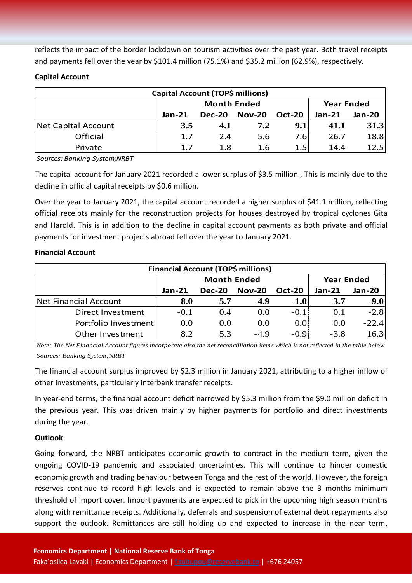reflects the impact of the border lockdown on tourism activities over the past year. Both travel receipts and payments fell over the year by \$101.4 million (75.1%) and \$35.2 million (62.9%), respectively.

### **Capital Account**

| Capital Account (TOP\$ millions) |        |                    |                   |               |               |               |  |  |
|----------------------------------|--------|--------------------|-------------------|---------------|---------------|---------------|--|--|
|                                  |        | <b>Month Ended</b> | <b>Year Ended</b> |               |               |               |  |  |
|                                  | Jan-21 | <b>Dec-20</b>      | <b>Nov-20</b>     | <b>Oct-20</b> | <b>Jan-21</b> | <b>Jan-20</b> |  |  |
| Net Capital Account              | 3.5    | 4.1                | 7.2               | 9.1           | 41.1          | 31.3          |  |  |
| Official                         | 1.7    | 2.4                | 5.6               | 7.6           | 26.7          | 18.8          |  |  |
| Private                          | 1.7    | 1.8                | 1.6               | 1.5           | 14.4          | 12.5          |  |  |

*Sources: Banking System;NRBT*

The capital account for January 2021 recorded a lower surplus of \$3.5 million., This is mainly due to the decline in official capital receipts by \$0.6 million.

Over the year to January 2021, the capital account recorded a higher surplus of \$41.1 million, reflecting official receipts mainly for the reconstruction projects for houses destroyed by tropical cyclones Gita and Harold. This is in addition to the decline in capital account payments as both private and official payments for investment projects abroad fell over the year to January 2021.

#### **Financial Account**

| <b>Financial Account (TOP\$ millions)</b> |          |                    |                   |               |          |               |  |  |
|-------------------------------------------|----------|--------------------|-------------------|---------------|----------|---------------|--|--|
|                                           |          | <b>Month Ended</b> | <b>Year Ended</b> |               |          |               |  |  |
|                                           | $Jan-21$ | <b>Dec-20</b>      | <b>Nov-20</b>     | <b>Oct-20</b> | $Jan-21$ | <b>Jan-20</b> |  |  |
| Net Financial Account                     | 8.0      | 5.7                | $-4.9$            | $-1.0$        | $-3.7$   | $-9.0$        |  |  |
| Direct Investment                         | $-0.1$   | 0.4                | 0.0               | $-0.1'$       | 0.1      | $-2.8$        |  |  |
| Portfolio Investment                      | 0.0      | 0.0                | 0.0               | 0.0           | 0.0      | $-22.4$       |  |  |
| Other Investment                          | 8.2      | 5.3                | $-4.9$            | $-0.9$        | $-3.8$   | 16.3          |  |  |

*Note: The Net Financial Account figures incorporate also the net reconcilliation items which is not reflected in the table below Sources: Banking System;NRBT*

The financial account surplus improved by \$2.3 million in January 2021, attributing to a higher inflow of other investments, particularly interbank transfer receipts.

In year-end terms, the financial account deficit narrowed by \$5.3 million from the \$9.0 million deficit in the previous year. This was driven mainly by higher payments for portfolio and direct investments during the year.

## **Outlook**

Going forward, the NRBT anticipates economic growth to contract in the medium term, given the ongoing COVID-19 pandemic and associated uncertainties. This will continue to hinder domestic economic growth and trading behaviour between Tonga and the rest of the world. However, the foreign reserves continue to record high levels and is expected to remain above the 3 months minimum threshold of import cover. Import payments are expected to pick in the upcoming high season months along with remittance receipts. Additionally, deferrals and suspension of external debt repayments also support the outlook. Remittances are still holding up and expected to increase in the near term,